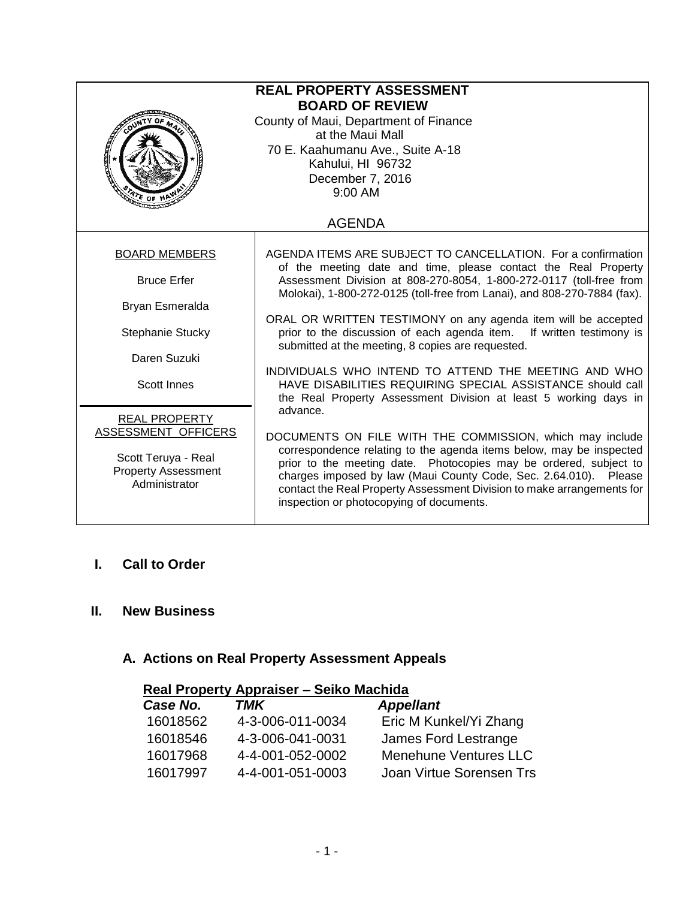| <b>REAL PROPERTY ASSESSMENT</b><br><b>BOARD OF REVIEW</b><br>County of Maui, Department of Finance<br>at the Maui Mall<br>70 E. Kaahumanu Ave., Suite A-18<br>Kahului, HI 96732<br>December 7, 2016<br>9:00 AM |                                                                                                                                                                                                                                                                                                                                                                                                |  |
|----------------------------------------------------------------------------------------------------------------------------------------------------------------------------------------------------------------|------------------------------------------------------------------------------------------------------------------------------------------------------------------------------------------------------------------------------------------------------------------------------------------------------------------------------------------------------------------------------------------------|--|
| <b>AGENDA</b>                                                                                                                                                                                                  |                                                                                                                                                                                                                                                                                                                                                                                                |  |
| <b>BOARD MEMBERS</b>                                                                                                                                                                                           | AGENDA ITEMS ARE SUBJECT TO CANCELLATION. For a confirmation<br>of the meeting date and time, please contact the Real Property                                                                                                                                                                                                                                                                 |  |
| <b>Bruce Erfer</b>                                                                                                                                                                                             | Assessment Division at 808-270-8054, 1-800-272-0117 (toll-free from<br>Molokai), 1-800-272-0125 (toll-free from Lanai), and 808-270-7884 (fax).                                                                                                                                                                                                                                                |  |
| Bryan Esmeralda                                                                                                                                                                                                |                                                                                                                                                                                                                                                                                                                                                                                                |  |
| Stephanie Stucky                                                                                                                                                                                               | ORAL OR WRITTEN TESTIMONY on any agenda item will be accepted<br>prior to the discussion of each agenda item. If written testimony is<br>submitted at the meeting, 8 copies are requested.                                                                                                                                                                                                     |  |
| Daren Suzuki                                                                                                                                                                                                   |                                                                                                                                                                                                                                                                                                                                                                                                |  |
| <b>Scott Innes</b>                                                                                                                                                                                             | INDIVIDUALS WHO INTEND TO ATTEND THE MEETING AND WHO<br>HAVE DISABILITIES REQUIRING SPECIAL ASSISTANCE should call<br>the Real Property Assessment Division at least 5 working days in                                                                                                                                                                                                         |  |
| <b>REAL PROPERTY</b>                                                                                                                                                                                           | advance.                                                                                                                                                                                                                                                                                                                                                                                       |  |
| ASSESSMENT OFFICERS<br>Scott Teruya - Real<br><b>Property Assessment</b><br>Administrator                                                                                                                      | DOCUMENTS ON FILE WITH THE COMMISSION, which may include<br>correspondence relating to the agenda items below, may be inspected<br>prior to the meeting date. Photocopies may be ordered, subject to<br>charges imposed by law (Maui County Code, Sec. 2.64.010). Please<br>contact the Real Property Assessment Division to make arrangements for<br>inspection or photocopying of documents. |  |

# **I. Call to Order**

## **II. New Business**

# **A. Actions on Real Property Assessment Appeals**

| Real Property Appraiser - Seiko Machida |                  |                              |
|-----------------------------------------|------------------|------------------------------|
| Case No.                                | TMK              | <b>Appellant</b>             |
| 16018562                                | 4-3-006-011-0034 | Eric M Kunkel/Yi Zhang       |
| 16018546                                | 4-3-006-041-0031 | James Ford Lestrange         |
| 16017968                                | 4-4-001-052-0002 | <b>Menehune Ventures LLC</b> |
| 16017997                                | 4-4-001-051-0003 | Joan Virtue Sorensen Trs     |